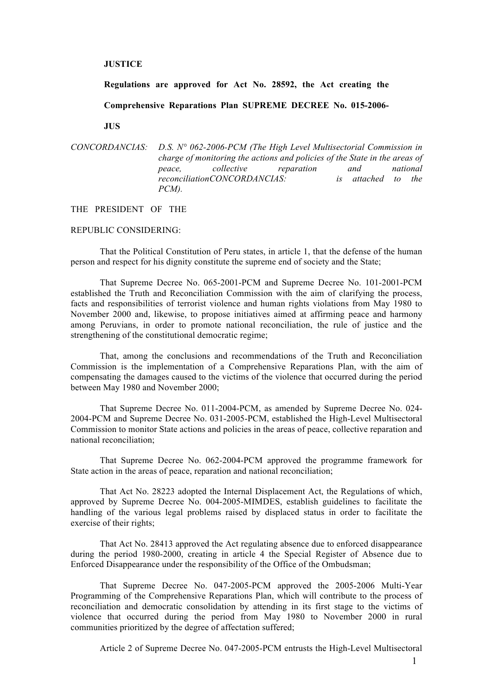## **JUSTICE**

**Regulations are approved for Act No. 28592, the Act creating the** 

**Comprehensive Reparations Plan SUPREME DECREE No. 015-2006-**

**JUS**

```
CONCORDANCIAS: D.S. N° 062-2006-PCM (The High Level Multisectorial Commission in 
      charge of monitoring the actions and policies of the State in the areas of 
      peace, collective reparation and national 
      reconciliationCONCORDANCIAS: is attached to the 
      PCM).
```
### THE PRESIDENT OF THE

## REPUBLIC CONSIDERING:

That the Political Constitution of Peru states, in article 1, that the defense of the human person and respect for his dignity constitute the supreme end of society and the State;

That Supreme Decree No. 065-2001-PCM and Supreme Decree No. 101-2001-PCM established the Truth and Reconciliation Commission with the aim of clarifying the process, facts and responsibilities of terrorist violence and human rights violations from May 1980 to November 2000 and, likewise, to propose initiatives aimed at affirming peace and harmony among Peruvians, in order to promote national reconciliation, the rule of justice and the strengthening of the constitutional democratic regime;

That, among the conclusions and recommendations of the Truth and Reconciliation Commission is the implementation of a Comprehensive Reparations Plan, with the aim of compensating the damages caused to the victims of the violence that occurred during the period between May 1980 and November 2000;

That Supreme Decree No. 011-2004-PCM, as amended by Supreme Decree No. 024- 2004-PCM and Supreme Decree No. 031-2005-PCM, established the High-Level Multisectoral Commission to monitor State actions and policies in the areas of peace, collective reparation and national reconciliation;

That Supreme Decree No. 062-2004-PCM approved the programme framework for State action in the areas of peace, reparation and national reconciliation;

That Act No. 28223 adopted the Internal Displacement Act, the Regulations of which, approved by Supreme Decree No. 004-2005-MIMDES, establish guidelines to facilitate the handling of the various legal problems raised by displaced status in order to facilitate the exercise of their rights;

That Act No. 28413 approved the Act regulating absence due to enforced disappearance during the period 1980-2000, creating in article 4 the Special Register of Absence due to Enforced Disappearance under the responsibility of the Office of the Ombudsman;

That Supreme Decree No. 047-2005-PCM approved the 2005-2006 Multi-Year Programming of the Comprehensive Reparations Plan, which will contribute to the process of reconciliation and democratic consolidation by attending in its first stage to the victims of violence that occurred during the period from May 1980 to November 2000 in rural communities prioritized by the degree of affectation suffered;

Article 2 of Supreme Decree No. 047-2005-PCM entrusts the High-Level Multisectoral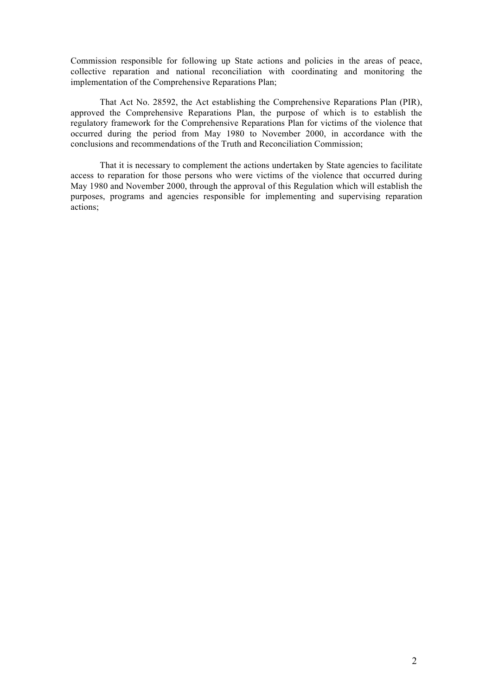Commission responsible for following up State actions and policies in the areas of peace, collective reparation and national reconciliation with coordinating and monitoring the implementation of the Comprehensive Reparations Plan;

That Act No. 28592, the Act establishing the Comprehensive Reparations Plan (PIR), approved the Comprehensive Reparations Plan, the purpose of which is to establish the regulatory framework for the Comprehensive Reparations Plan for victims of the violence that occurred during the period from May 1980 to November 2000, in accordance with the conclusions and recommendations of the Truth and Reconciliation Commission;

That it is necessary to complement the actions undertaken by State agencies to facilitate access to reparation for those persons who were victims of the violence that occurred during May 1980 and November 2000, through the approval of this Regulation which will establish the purposes, programs and agencies responsible for implementing and supervising reparation actions;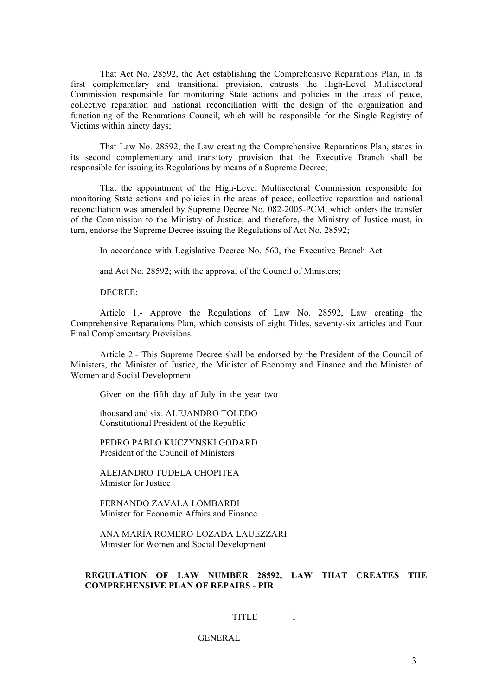That Act No. 28592, the Act establishing the Comprehensive Reparations Plan, in its first complementary and transitional provision, entrusts the High-Level Multisectoral Commission responsible for monitoring State actions and policies in the areas of peace, collective reparation and national reconciliation with the design of the organization and functioning of the Reparations Council, which will be responsible for the Single Registry of Victims within ninety days;

That Law No. 28592, the Law creating the Comprehensive Reparations Plan, states in its second complementary and transitory provision that the Executive Branch shall be responsible for issuing its Regulations by means of a Supreme Decree;

That the appointment of the High-Level Multisectoral Commission responsible for monitoring State actions and policies in the areas of peace, collective reparation and national reconciliation was amended by Supreme Decree No. 082-2005-PCM, which orders the transfer of the Commission to the Ministry of Justice; and therefore, the Ministry of Justice must, in turn, endorse the Supreme Decree issuing the Regulations of Act No. 28592;

In accordance with Legislative Decree No. 560, the Executive Branch Act

and Act No. 28592; with the approval of the Council of Ministers;

DECREE:

Article 1.- Approve the Regulations of Law No. 28592, Law creating the Comprehensive Reparations Plan, which consists of eight Titles, seventy-six articles and Four Final Complementary Provisions.

Article 2.- This Supreme Decree shall be endorsed by the President of the Council of Ministers, the Minister of Justice, the Minister of Economy and Finance and the Minister of Women and Social Development.

Given on the fifth day of July in the year two

thousand and six. ALEJANDRO TOLEDO Constitutional President of the Republic

PEDRO PABLO KUCZYNSKI GODARD President of the Council of Ministers

ALEJANDRO TUDELA CHOPITEA Minister for Justice

FERNANDO ZAVALA LOMBARDI Minister for Economic Affairs and Finance

ANA MARÍA ROMERO-LOZADA LAUEZZARI Minister for Women and Social Development

# **REGULATION OF LAW NUMBER 28592, LAW THAT CREATES THE COMPREHENSIVE PLAN OF REPAIRS - PIR**

#### TITLE I

GENERAL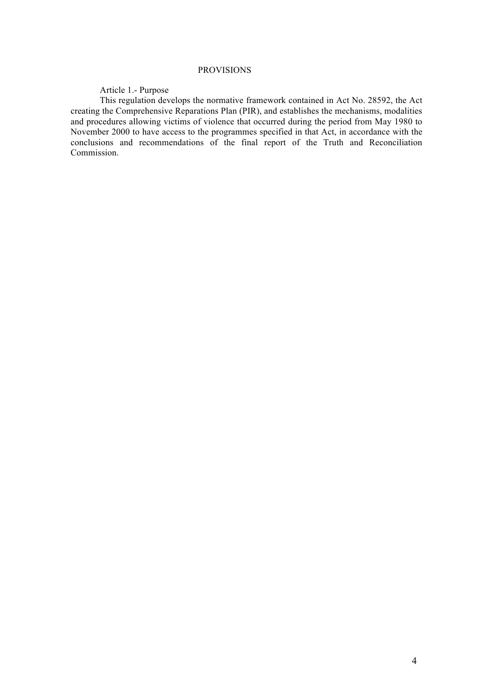## PROVISIONS

## Article 1.- Purpose

This regulation develops the normative framework contained in Act No. 28592, the Act creating the Comprehensive Reparations Plan (PIR), and establishes the mechanisms, modalities and procedures allowing victims of violence that occurred during the period from May 1980 to November 2000 to have access to the programmes specified in that Act, in accordance with the conclusions and recommendations of the final report of the Truth and Reconciliation Commission.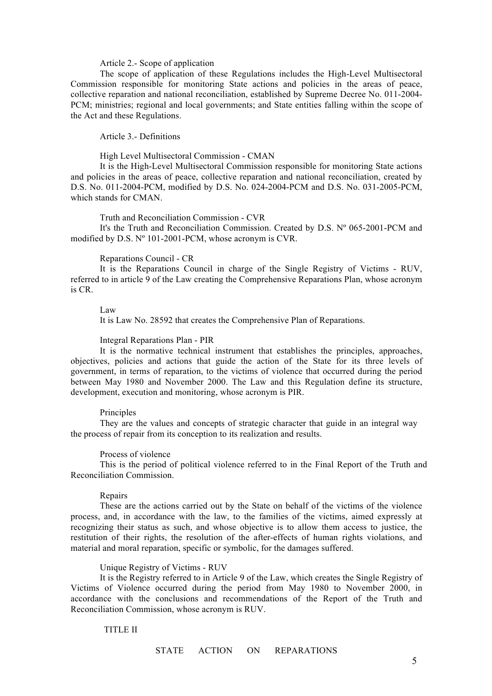#### Article 2.- Scope of application

The scope of application of these Regulations includes the High-Level Multisectoral Commission responsible for monitoring State actions and policies in the areas of peace, collective reparation and national reconciliation, established by Supreme Decree No. 011-2004- PCM; ministries; regional and local governments; and State entities falling within the scope of the Act and these Regulations.

## Article 3.- Definitions

High Level Multisectoral Commission - CMAN

It is the High-Level Multisectoral Commission responsible for monitoring State actions and policies in the areas of peace, collective reparation and national reconciliation, created by D.S. No. 011-2004-PCM, modified by D.S. No. 024-2004-PCM and D.S. No. 031-2005-PCM, which stands for CMAN

#### Truth and Reconciliation Commission - CVR

It's the Truth and Reconciliation Commission. Created by D.S. Nº 065-2001-PCM and modified by D.S. Nº 101-2001-PCM, whose acronym is CVR.

Reparations Council - CR

It is the Reparations Council in charge of the Single Registry of Victims - RUV, referred to in article 9 of the Law creating the Comprehensive Reparations Plan, whose acronym is CR.

Law

It is Law No. 28592 that creates the Comprehensive Plan of Reparations.

#### Integral Reparations Plan - PIR

It is the normative technical instrument that establishes the principles, approaches, objectives, policies and actions that guide the action of the State for its three levels of government, in terms of reparation, to the victims of violence that occurred during the period between May 1980 and November 2000. The Law and this Regulation define its structure, development, execution and monitoring, whose acronym is PIR.

#### Principles

They are the values and concepts of strategic character that guide in an integral way the process of repair from its conception to its realization and results.

#### Process of violence

This is the period of political violence referred to in the Final Report of the Truth and Reconciliation Commission.

## Repairs

These are the actions carried out by the State on behalf of the victims of the violence process, and, in accordance with the law, to the families of the victims, aimed expressly at recognizing their status as such, and whose objective is to allow them access to justice, the restitution of their rights, the resolution of the after-effects of human rights violations, and material and moral reparation, specific or symbolic, for the damages suffered.

## Unique Registry of Victims - RUV

It is the Registry referred to in Article 9 of the Law, which creates the Single Registry of Victims of Violence occurred during the period from May 1980 to November 2000, in accordance with the conclusions and recommendations of the Report of the Truth and Reconciliation Commission, whose acronym is RUV.

## TITLE II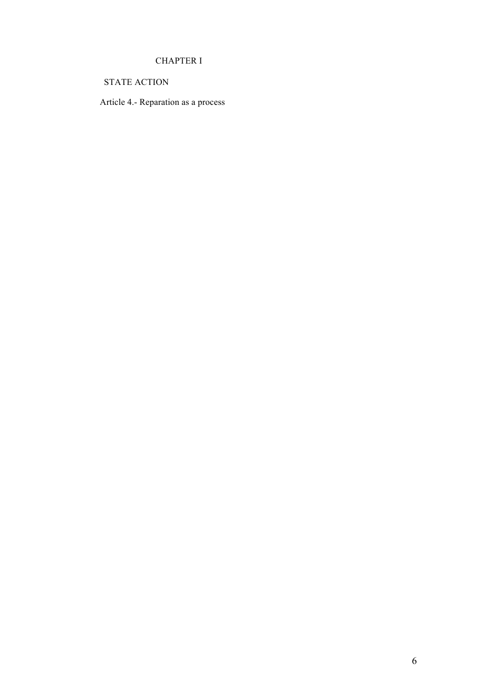# CHAPTER I

STATE ACTION

Article 4.- Reparation as a process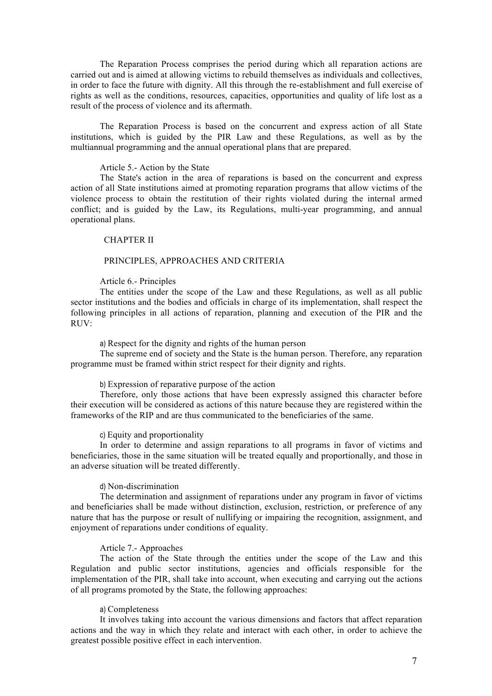The Reparation Process comprises the period during which all reparation actions are carried out and is aimed at allowing victims to rebuild themselves as individuals and collectives, in order to face the future with dignity. All this through the re-establishment and full exercise of rights as well as the conditions, resources, capacities, opportunities and quality of life lost as a result of the process of violence and its aftermath.

The Reparation Process is based on the concurrent and express action of all State institutions, which is guided by the PIR Law and these Regulations, as well as by the multiannual programming and the annual operational plans that are prepared.

## Article 5.- Action by the State

The State's action in the area of reparations is based on the concurrent and express action of all State institutions aimed at promoting reparation programs that allow victims of the violence process to obtain the restitution of their rights violated during the internal armed conflict; and is guided by the Law, its Regulations, multi-year programming, and annual operational plans.

## CHAPTER II

## PRINCIPLES, APPROACHES AND CRITERIA

#### Article 6.- Principles

The entities under the scope of the Law and these Regulations, as well as all public sector institutions and the bodies and officials in charge of its implementation, shall respect the following principles in all actions of reparation, planning and execution of the PIR and the  $RUV$ 

## a) Respect for the dignity and rights of the human person

The supreme end of society and the State is the human person. Therefore, any reparation programme must be framed within strict respect for their dignity and rights.

## b) Expression of reparative purpose of the action

Therefore, only those actions that have been expressly assigned this character before their execution will be considered as actions of this nature because they are registered within the frameworks of the RIP and are thus communicated to the beneficiaries of the same.

#### c) Equity and proportionality

In order to determine and assign reparations to all programs in favor of victims and beneficiaries, those in the same situation will be treated equally and proportionally, and those in an adverse situation will be treated differently.

#### d) Non-discrimination

The determination and assignment of reparations under any program in favor of victims and beneficiaries shall be made without distinction, exclusion, restriction, or preference of any nature that has the purpose or result of nullifying or impairing the recognition, assignment, and enjoyment of reparations under conditions of equality.

## Article 7.- Approaches

The action of the State through the entities under the scope of the Law and this Regulation and public sector institutions, agencies and officials responsible for the implementation of the PIR, shall take into account, when executing and carrying out the actions of all programs promoted by the State, the following approaches:

## a) Completeness

It involves taking into account the various dimensions and factors that affect reparation actions and the way in which they relate and interact with each other, in order to achieve the greatest possible positive effect in each intervention.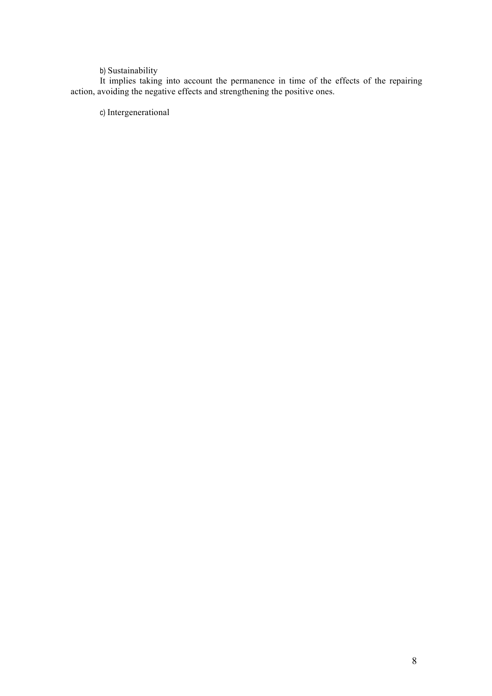## b) Sustainability

It implies taking into account the permanence in time of the effects of the repairing action, avoiding the negative effects and strengthening the positive ones.

c) Intergenerational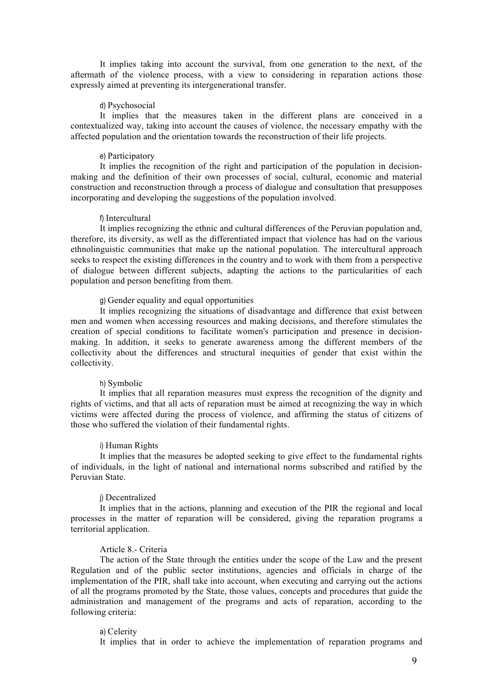It implies taking into account the survival, from one generation to the next, of the aftermath of the violence process, with a view to considering in reparation actions those expressly aimed at preventing its intergenerational transfer.

## d) Psychosocial

It implies that the measures taken in the different plans are conceived in a contextualized way, taking into account the causes of violence, the necessary empathy with the affected population and the orientation towards the reconstruction of their life projects.

## e) Participatory

It implies the recognition of the right and participation of the population in decisionmaking and the definition of their own processes of social, cultural, economic and material construction and reconstruction through a process of dialogue and consultation that presupposes incorporating and developing the suggestions of the population involved.

#### f) Intercultural

It implies recognizing the ethnic and cultural differences of the Peruvian population and, therefore, its diversity, as well as the differentiated impact that violence has had on the various ethnolinguistic communities that make up the national population. The intercultural approach seeks to respect the existing differences in the country and to work with them from a perspective of dialogue between different subjects, adapting the actions to the particularities of each population and person benefiting from them.

## g) Gender equality and equal opportunities

It implies recognizing the situations of disadvantage and difference that exist between men and women when accessing resources and making decisions, and therefore stimulates the creation of special conditions to facilitate women's participation and presence in decisionmaking. In addition, it seeks to generate awareness among the different members of the collectivity about the differences and structural inequities of gender that exist within the collectivity.

#### h) Symbolic

It implies that all reparation measures must express the recognition of the dignity and rights of victims, and that all acts of reparation must be aimed at recognizing the way in which victims were affected during the process of violence, and affirming the status of citizens of those who suffered the violation of their fundamental rights.

#### i) Human Rights

It implies that the measures be adopted seeking to give effect to the fundamental rights of individuals, in the light of national and international norms subscribed and ratified by the Peruvian State.

## j) Decentralized

It implies that in the actions, planning and execution of the PIR the regional and local processes in the matter of reparation will be considered, giving the reparation programs a territorial application.

## Article 8.- Criteria

The action of the State through the entities under the scope of the Law and the present Regulation and of the public sector institutions, agencies and officials in charge of the implementation of the PIR, shall take into account, when executing and carrying out the actions of all the programs promoted by the State, those values, concepts and procedures that guide the administration and management of the programs and acts of reparation, according to the following criteria:

#### a) Celerity

It implies that in order to achieve the implementation of reparation programs and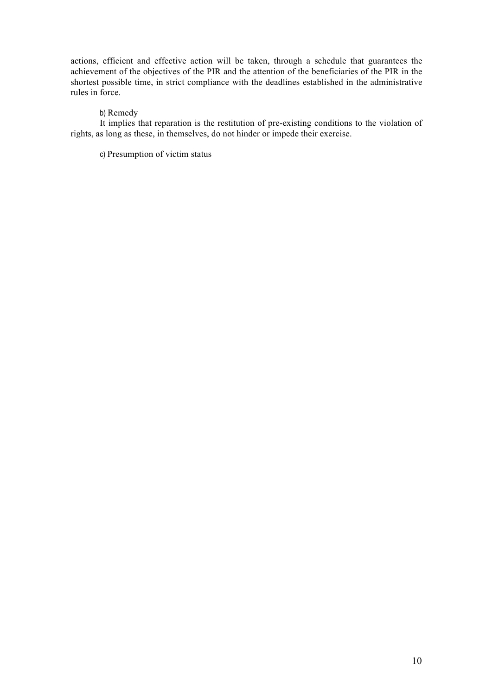actions, efficient and effective action will be taken, through a schedule that guarantees the achievement of the objectives of the PIR and the attention of the beneficiaries of the PIR in the shortest possible time, in strict compliance with the deadlines established in the administrative rules in force.

## b) Remedy

It implies that reparation is the restitution of pre-existing conditions to the violation of rights, as long as these, in themselves, do not hinder or impede their exercise.

c) Presumption of victim status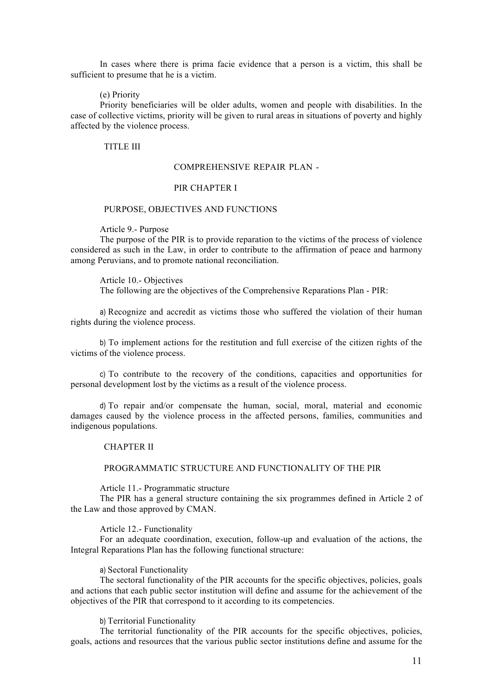In cases where there is prima facie evidence that a person is a victim, this shall be sufficient to presume that he is a victim.

#### (e) Priority

Priority beneficiaries will be older adults, women and people with disabilities. In the case of collective victims, priority will be given to rural areas in situations of poverty and highly affected by the violence process.

## TITLE III

## COMPREHENSIVE REPAIR PLAN -

### PIR CHAPTER I

#### PURPOSE, OBJECTIVES AND FUNCTIONS

Article 9.- Purpose

The purpose of the PIR is to provide reparation to the victims of the process of violence considered as such in the Law, in order to contribute to the affirmation of peace and harmony among Peruvians, and to promote national reconciliation.

Article 10.- Objectives The following are the objectives of the Comprehensive Reparations Plan - PIR:

a) Recognize and accredit as victims those who suffered the violation of their human rights during the violence process.

b) To implement actions for the restitution and full exercise of the citizen rights of the victims of the violence process.

c) To contribute to the recovery of the conditions, capacities and opportunities for personal development lost by the victims as a result of the violence process.

d) To repair and/or compensate the human, social, moral, material and economic damages caused by the violence process in the affected persons, families, communities and indigenous populations.

## CHAPTER II

## PROGRAMMATIC STRUCTURE AND FUNCTIONALITY OF THE PIR

Article 11.- Programmatic structure

The PIR has a general structure containing the six programmes defined in Article 2 of the Law and those approved by CMAN.

Article 12.- Functionality

For an adequate coordination, execution, follow-up and evaluation of the actions, the Integral Reparations Plan has the following functional structure:

#### a) Sectoral Functionality

The sectoral functionality of the PIR accounts for the specific objectives, policies, goals and actions that each public sector institution will define and assume for the achievement of the objectives of the PIR that correspond to it according to its competencies.

b) Territorial Functionality

The territorial functionality of the PIR accounts for the specific objectives, policies, goals, actions and resources that the various public sector institutions define and assume for the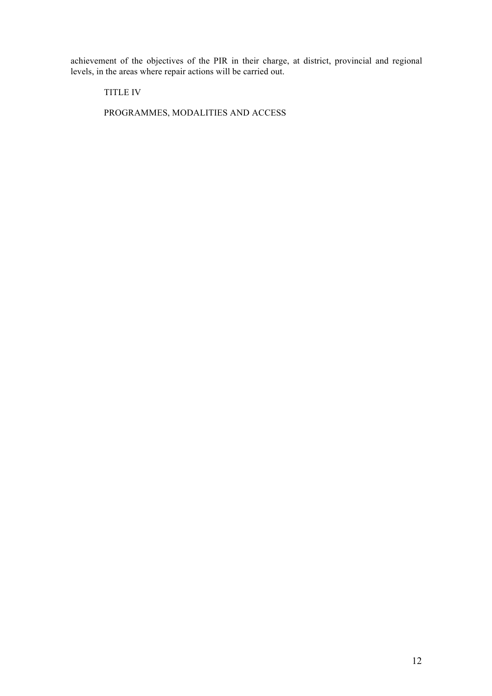achievement of the objectives of the PIR in their charge, at district, provincial and regional levels, in the areas where repair actions will be carried out.

TITLE IV

PROGRAMMES, MODALITIES AND ACCESS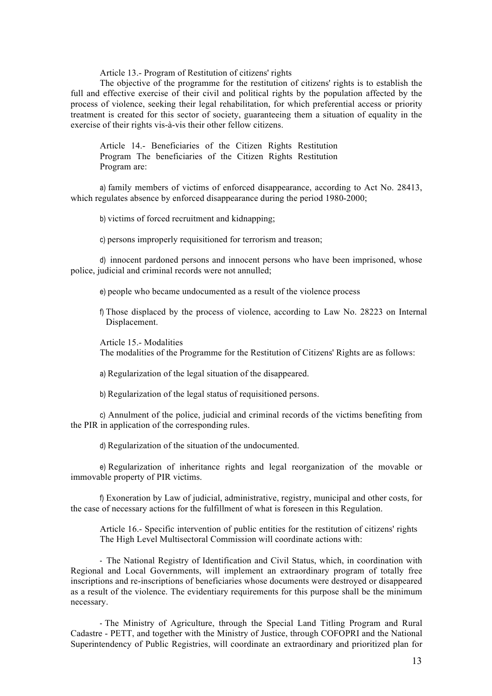Article 13.- Program of Restitution of citizens' rights

The objective of the programme for the restitution of citizens' rights is to establish the full and effective exercise of their civil and political rights by the population affected by the process of violence, seeking their legal rehabilitation, for which preferential access or priority treatment is created for this sector of society, guaranteeing them a situation of equality in the exercise of their rights vis-à-vis their other fellow citizens.

Article 14.- Beneficiaries of the Citizen Rights Restitution Program The beneficiaries of the Citizen Rights Restitution Program are:

a) family members of victims of enforced disappearance, according to Act No. 28413, which regulates absence by enforced disappearance during the period 1980-2000;

b) victims of forced recruitment and kidnapping;

c) persons improperly requisitioned for terrorism and treason;

d) innocent pardoned persons and innocent persons who have been imprisoned, whose police, judicial and criminal records were not annulled;

e) people who became undocumented as a result of the violence process

f) Those displaced by the process of violence, according to Law No. 28223 on Internal Displacement.

Article 15.- Modalities

The modalities of the Programme for the Restitution of Citizens' Rights are as follows:

a) Regularization of the legal situation of the disappeared.

b) Regularization of the legal status of requisitioned persons.

c) Annulment of the police, judicial and criminal records of the victims benefiting from the PIR in application of the corresponding rules.

d) Regularization of the situation of the undocumented.

e) Regularization of inheritance rights and legal reorganization of the movable or immovable property of PIR victims.

f) Exoneration by Law of judicial, administrative, registry, municipal and other costs, for the case of necessary actions for the fulfillment of what is foreseen in this Regulation.

Article 16.- Specific intervention of public entities for the restitution of citizens' rights The High Level Multisectoral Commission will coordinate actions with:

- The National Registry of Identification and Civil Status, which, in coordination with Regional and Local Governments, will implement an extraordinary program of totally free inscriptions and re-inscriptions of beneficiaries whose documents were destroyed or disappeared as a result of the violence. The evidentiary requirements for this purpose shall be the minimum necessary.

- The Ministry of Agriculture, through the Special Land Titling Program and Rural Cadastre - PETT, and together with the Ministry of Justice, through COFOPRI and the National Superintendency of Public Registries, will coordinate an extraordinary and prioritized plan for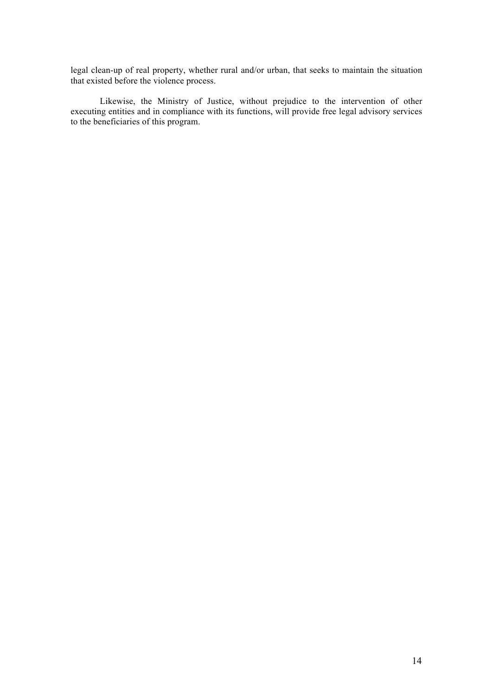legal clean-up of real property, whether rural and/or urban, that seeks to maintain the situation that existed before the violence process.

Likewise, the Ministry of Justice, without prejudice to the intervention of other executing entities and in compliance with its functions, will provide free legal advisory services to the beneficiaries of this program.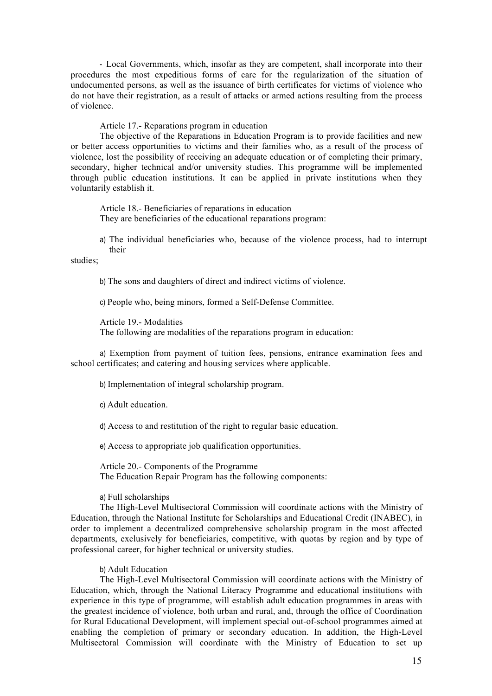- Local Governments, which, insofar as they are competent, shall incorporate into their procedures the most expeditious forms of care for the regularization of the situation of undocumented persons, as well as the issuance of birth certificates for victims of violence who do not have their registration, as a result of attacks or armed actions resulting from the process of violence.

Article 17.- Reparations program in education

The objective of the Reparations in Education Program is to provide facilities and new or better access opportunities to victims and their families who, as a result of the process of violence, lost the possibility of receiving an adequate education or of completing their primary, secondary, higher technical and/or university studies. This programme will be implemented through public education institutions. It can be applied in private institutions when they voluntarily establish it.

Article 18.- Beneficiaries of reparations in education They are beneficiaries of the educational reparations program:

a) The individual beneficiaries who, because of the violence process, had to interrupt their

studies;

b) The sons and daughters of direct and indirect victims of violence.

c) People who, being minors, formed a Self-Defense Committee.

Article 19.- Modalities

The following are modalities of the reparations program in education:

a) Exemption from payment of tuition fees, pensions, entrance examination fees and school certificates; and catering and housing services where applicable.

b) Implementation of integral scholarship program.

c) Adult education.

d) Access to and restitution of the right to regular basic education.

e) Access to appropriate job qualification opportunities.

Article 20.- Components of the Programme The Education Repair Program has the following components:

## a) Full scholarships

The High-Level Multisectoral Commission will coordinate actions with the Ministry of Education, through the National Institute for Scholarships and Educational Credit (INABEC), in order to implement a decentralized comprehensive scholarship program in the most affected departments, exclusively for beneficiaries, competitive, with quotas by region and by type of professional career, for higher technical or university studies.

## b) Adult Education

The High-Level Multisectoral Commission will coordinate actions with the Ministry of Education, which, through the National Literacy Programme and educational institutions with experience in this type of programme, will establish adult education programmes in areas with the greatest incidence of violence, both urban and rural, and, through the office of Coordination for Rural Educational Development, will implement special out-of-school programmes aimed at enabling the completion of primary or secondary education. In addition, the High-Level Multisectoral Commission will coordinate with the Ministry of Education to set up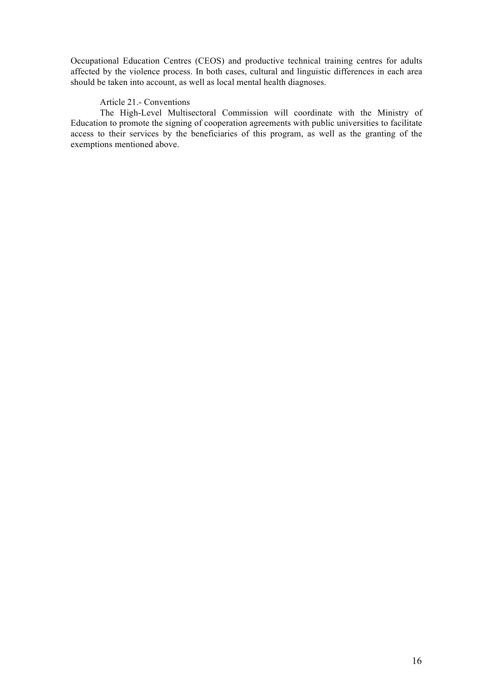Occupational Education Centres (CEOS) and productive technical training centres for adults affected by the violence process. In both cases, cultural and linguistic differences in each area should be taken into account, as well as local mental health diagnoses.

## Article 21.- Conventions

The High-Level Multisectoral Commission will coordinate with the Ministry of Education to promote the signing of cooperation agreements with public universities to facilitate access to their services by the beneficiaries of this program, as well as the granting of the exemptions mentioned above.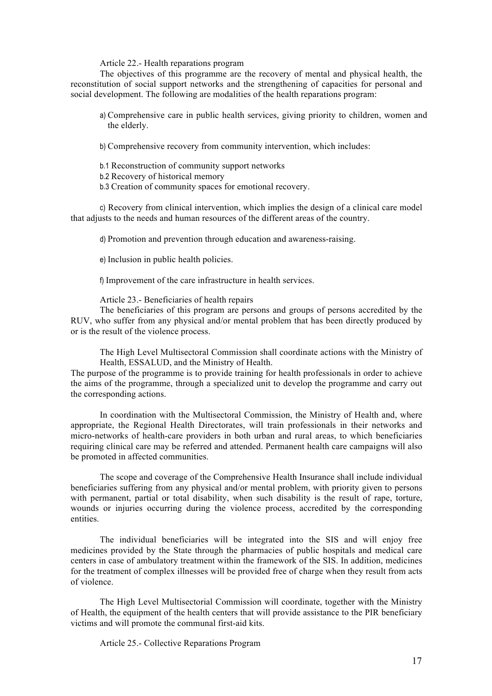Article 22.- Health reparations program

The objectives of this programme are the recovery of mental and physical health, the reconstitution of social support networks and the strengthening of capacities for personal and social development. The following are modalities of the health reparations program:

a) Comprehensive care in public health services, giving priority to children, women and the elderly.

b) Comprehensive recovery from community intervention, which includes:

b.1 Reconstruction of community support networks

b.2 Recovery of historical memory

b.3 Creation of community spaces for emotional recovery.

c) Recovery from clinical intervention, which implies the design of a clinical care model that adjusts to the needs and human resources of the different areas of the country.

d) Promotion and prevention through education and awareness-raising.

e) Inclusion in public health policies.

f) Improvement of the care infrastructure in health services.

Article 23.- Beneficiaries of health repairs

The beneficiaries of this program are persons and groups of persons accredited by the RUV, who suffer from any physical and/or mental problem that has been directly produced by or is the result of the violence process.

The High Level Multisectoral Commission shall coordinate actions with the Ministry of Health, ESSALUD, and the Ministry of Health.

The purpose of the programme is to provide training for health professionals in order to achieve the aims of the programme, through a specialized unit to develop the programme and carry out the corresponding actions.

In coordination with the Multisectoral Commission, the Ministry of Health and, where appropriate, the Regional Health Directorates, will train professionals in their networks and micro-networks of health-care providers in both urban and rural areas, to which beneficiaries requiring clinical care may be referred and attended. Permanent health care campaigns will also be promoted in affected communities.

The scope and coverage of the Comprehensive Health Insurance shall include individual beneficiaries suffering from any physical and/or mental problem, with priority given to persons with permanent, partial or total disability, when such disability is the result of rape, torture, wounds or injuries occurring during the violence process, accredited by the corresponding entities.

The individual beneficiaries will be integrated into the SIS and will enjoy free medicines provided by the State through the pharmacies of public hospitals and medical care centers in case of ambulatory treatment within the framework of the SIS. In addition, medicines for the treatment of complex illnesses will be provided free of charge when they result from acts of violence.

The High Level Multisectorial Commission will coordinate, together with the Ministry of Health, the equipment of the health centers that will provide assistance to the PIR beneficiary victims and will promote the communal first-aid kits.

Article 25.- Collective Reparations Program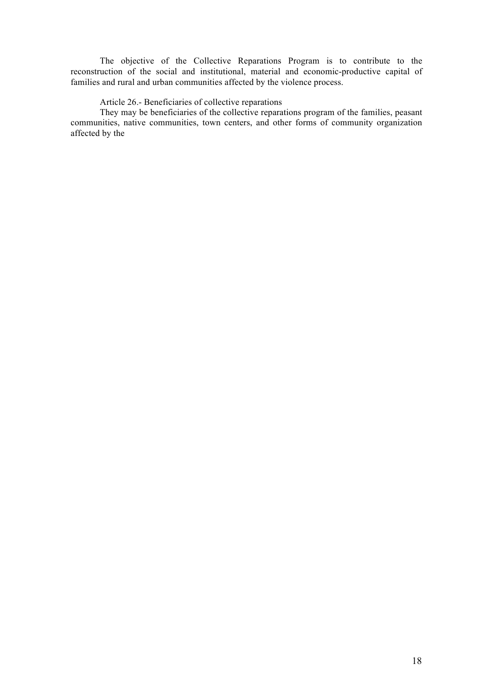The objective of the Collective Reparations Program is to contribute to the reconstruction of the social and institutional, material and economic-productive capital of families and rural and urban communities affected by the violence process.

## Article 26.- Beneficiaries of collective reparations

They may be beneficiaries of the collective reparations program of the families, peasant communities, native communities, town centers, and other forms of community organization affected by the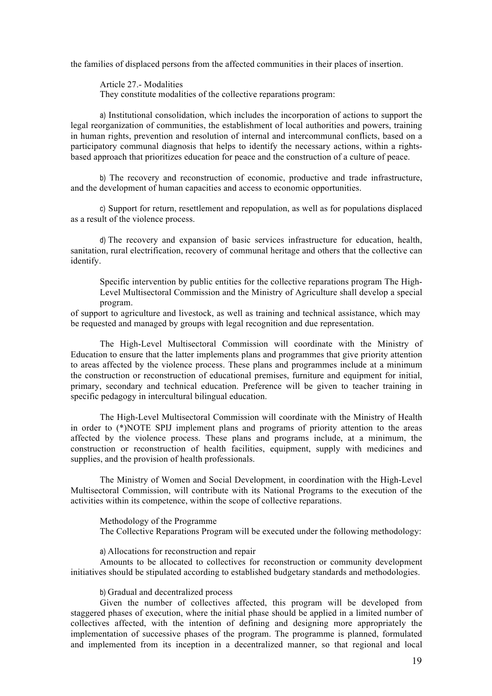the families of displaced persons from the affected communities in their places of insertion.

Article 27.- Modalities They constitute modalities of the collective reparations program:

a) Institutional consolidation, which includes the incorporation of actions to support the legal reorganization of communities, the establishment of local authorities and powers, training in human rights, prevention and resolution of internal and intercommunal conflicts, based on a participatory communal diagnosis that helps to identify the necessary actions, within a rightsbased approach that prioritizes education for peace and the construction of a culture of peace.

b) The recovery and reconstruction of economic, productive and trade infrastructure, and the development of human capacities and access to economic opportunities.

c) Support for return, resettlement and repopulation, as well as for populations displaced as a result of the violence process.

d) The recovery and expansion of basic services infrastructure for education, health, sanitation, rural electrification, recovery of communal heritage and others that the collective can identify.

Specific intervention by public entities for the collective reparations program The High-Level Multisectoral Commission and the Ministry of Agriculture shall develop a special program.

of support to agriculture and livestock, as well as training and technical assistance, which may be requested and managed by groups with legal recognition and due representation.

The High-Level Multisectoral Commission will coordinate with the Ministry of Education to ensure that the latter implements plans and programmes that give priority attention to areas affected by the violence process. These plans and programmes include at a minimum the construction or reconstruction of educational premises, furniture and equipment for initial, primary, secondary and technical education. Preference will be given to teacher training in specific pedagogy in intercultural bilingual education.

The High-Level Multisectoral Commission will coordinate with the Ministry of Health in order to (\*)NOTE SPIJ implement plans and programs of priority attention to the areas affected by the violence process. These plans and programs include, at a minimum, the construction or reconstruction of health facilities, equipment, supply with medicines and supplies, and the provision of health professionals.

The Ministry of Women and Social Development, in coordination with the High-Level Multisectoral Commission, will contribute with its National Programs to the execution of the activities within its competence, within the scope of collective reparations.

Methodology of the Programme The Collective Reparations Program will be executed under the following methodology:

a) Allocations for reconstruction and repair

Amounts to be allocated to collectives for reconstruction or community development initiatives should be stipulated according to established budgetary standards and methodologies.

b) Gradual and decentralized process

Given the number of collectives affected, this program will be developed from staggered phases of execution, where the initial phase should be applied in a limited number of collectives affected, with the intention of defining and designing more appropriately the implementation of successive phases of the program. The programme is planned, formulated and implemented from its inception in a decentralized manner, so that regional and local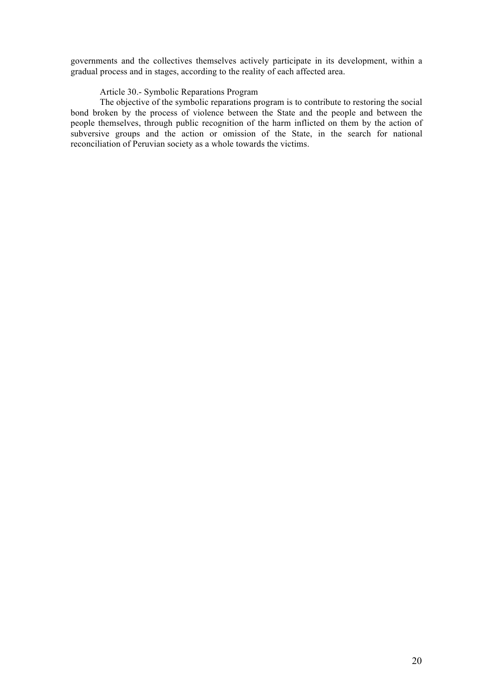governments and the collectives themselves actively participate in its development, within a gradual process and in stages, according to the reality of each affected area.

## Article 30.- Symbolic Reparations Program

The objective of the symbolic reparations program is to contribute to restoring the social bond broken by the process of violence between the State and the people and between the people themselves, through public recognition of the harm inflicted on them by the action of subversive groups and the action or omission of the State, in the search for national reconciliation of Peruvian society as a whole towards the victims.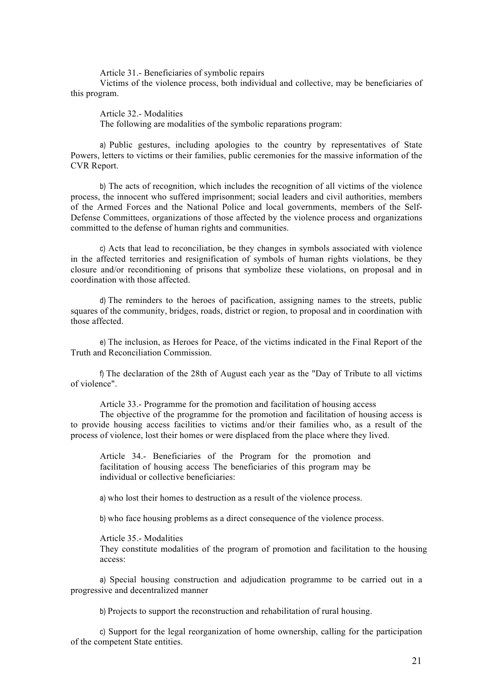Article 31.- Beneficiaries of symbolic repairs

Victims of the violence process, both individual and collective, may be beneficiaries of this program.

Article 32.- Modalities The following are modalities of the symbolic reparations program:

a) Public gestures, including apologies to the country by representatives of State Powers, letters to victims or their families, public ceremonies for the massive information of the CVR Report.

b) The acts of recognition, which includes the recognition of all victims of the violence process, the innocent who suffered imprisonment; social leaders and civil authorities, members of the Armed Forces and the National Police and local governments, members of the Self-Defense Committees, organizations of those affected by the violence process and organizations committed to the defense of human rights and communities.

c) Acts that lead to reconciliation, be they changes in symbols associated with violence in the affected territories and resignification of symbols of human rights violations, be they closure and/or reconditioning of prisons that symbolize these violations, on proposal and in coordination with those affected.

d) The reminders to the heroes of pacification, assigning names to the streets, public squares of the community, bridges, roads, district or region, to proposal and in coordination with those affected.

e) The inclusion, as Heroes for Peace, of the victims indicated in the Final Report of the Truth and Reconciliation Commission.

f) The declaration of the 28th of August each year as the "Day of Tribute to all victims of violence".

Article 33.- Programme for the promotion and facilitation of housing access

The objective of the programme for the promotion and facilitation of housing access is to provide housing access facilities to victims and/or their families who, as a result of the process of violence, lost their homes or were displaced from the place where they lived.

Article 34.- Beneficiaries of the Program for the promotion and facilitation of housing access The beneficiaries of this program may be individual or collective beneficiaries:

a) who lost their homes to destruction as a result of the violence process.

b) who face housing problems as a direct consequence of the violence process.

Article 35.- Modalities

They constitute modalities of the program of promotion and facilitation to the housing access:

a) Special housing construction and adjudication programme to be carried out in a progressive and decentralized manner

b) Projects to support the reconstruction and rehabilitation of rural housing.

c) Support for the legal reorganization of home ownership, calling for the participation of the competent State entities.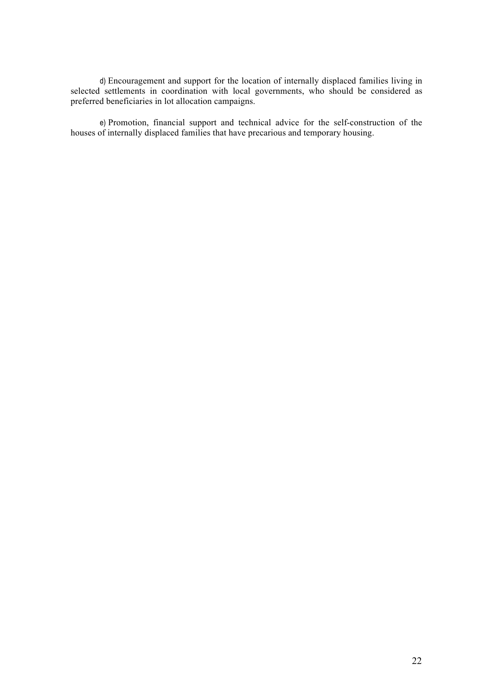d) Encouragement and support for the location of internally displaced families living in selected settlements in coordination with local governments, who should be considered as preferred beneficiaries in lot allocation campaigns.

e) Promotion, financial support and technical advice for the self-construction of the houses of internally displaced families that have precarious and temporary housing.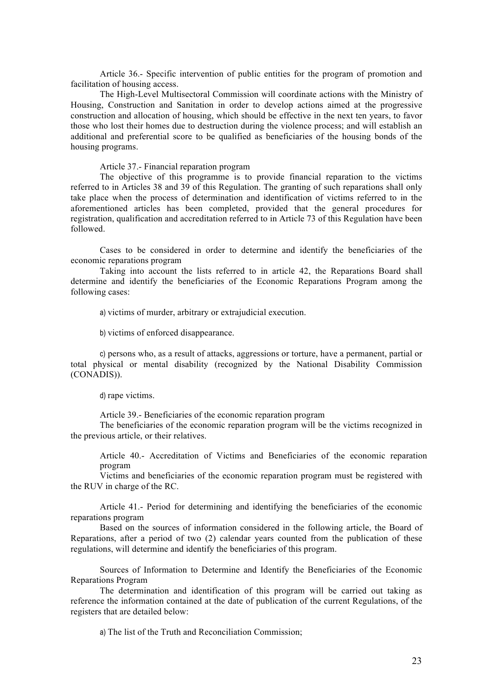Article 36.- Specific intervention of public entities for the program of promotion and facilitation of housing access.

The High-Level Multisectoral Commission will coordinate actions with the Ministry of Housing, Construction and Sanitation in order to develop actions aimed at the progressive construction and allocation of housing, which should be effective in the next ten years, to favor those who lost their homes due to destruction during the violence process; and will establish an additional and preferential score to be qualified as beneficiaries of the housing bonds of the housing programs.

Article 37.- Financial reparation program

The objective of this programme is to provide financial reparation to the victims referred to in Articles 38 and 39 of this Regulation. The granting of such reparations shall only take place when the process of determination and identification of victims referred to in the aforementioned articles has been completed, provided that the general procedures for registration, qualification and accreditation referred to in Article 73 of this Regulation have been followed.

Cases to be considered in order to determine and identify the beneficiaries of the economic reparations program

Taking into account the lists referred to in article 42, the Reparations Board shall determine and identify the beneficiaries of the Economic Reparations Program among the following cases:

a) victims of murder, arbitrary or extrajudicial execution.

b) victims of enforced disappearance.

c) persons who, as a result of attacks, aggressions or torture, have a permanent, partial or total physical or mental disability (recognized by the National Disability Commission (CONADIS)).

d) rape victims.

Article 39.- Beneficiaries of the economic reparation program

The beneficiaries of the economic reparation program will be the victims recognized in the previous article, or their relatives.

Article 40.- Accreditation of Victims and Beneficiaries of the economic reparation program

Victims and beneficiaries of the economic reparation program must be registered with the RUV in charge of the RC.

Article 41.- Period for determining and identifying the beneficiaries of the economic reparations program

Based on the sources of information considered in the following article, the Board of Reparations, after a period of two (2) calendar years counted from the publication of these regulations, will determine and identify the beneficiaries of this program.

Sources of Information to Determine and Identify the Beneficiaries of the Economic Reparations Program

The determination and identification of this program will be carried out taking as reference the information contained at the date of publication of the current Regulations, of the registers that are detailed below:

a) The list of the Truth and Reconciliation Commission;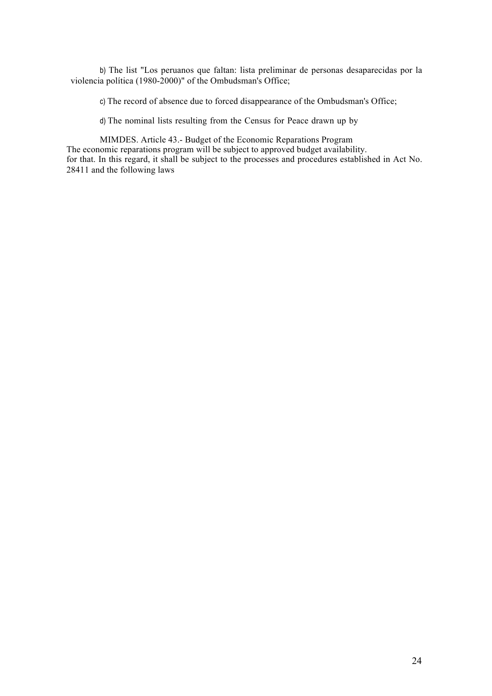b) The list "Los peruanos que faltan: lista preliminar de personas desaparecidas por la violencia política (1980-2000)" of the Ombudsman's Office;

c) The record of absence due to forced disappearance of the Ombudsman's Office;

d) The nominal lists resulting from the Census for Peace drawn up by

MIMDES. Article 43.- Budget of the Economic Reparations Program The economic reparations program will be subject to approved budget availability. for that. In this regard, it shall be subject to the processes and procedures established in Act No. 28411 and the following laws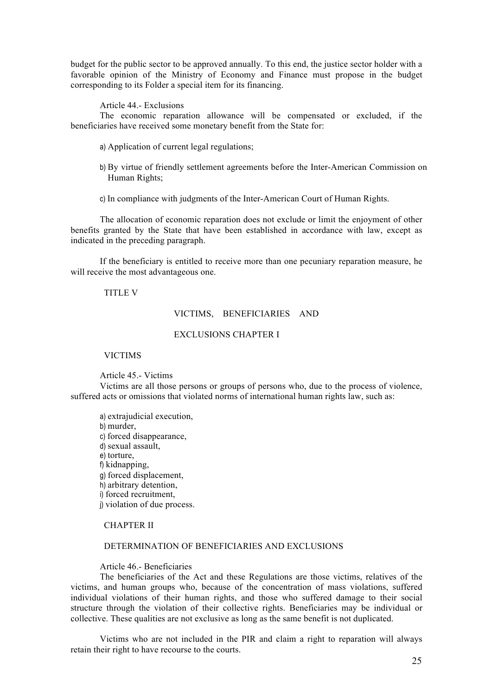budget for the public sector to be approved annually. To this end, the justice sector holder with a favorable opinion of the Ministry of Economy and Finance must propose in the budget corresponding to its Folder a special item for its financing.

Article 44.- Exclusions

The economic reparation allowance will be compensated or excluded, if the beneficiaries have received some monetary benefit from the State for:

- a) Application of current legal regulations;
- b) By virtue of friendly settlement agreements before the Inter-American Commission on Human Rights;
- c) In compliance with judgments of the Inter-American Court of Human Rights.

The allocation of economic reparation does not exclude or limit the enjoyment of other benefits granted by the State that have been established in accordance with law, except as indicated in the preceding paragraph.

If the beneficiary is entitled to receive more than one pecuniary reparation measure, he will receive the most advantageous one.

## TITLE V

## VICTIMS, BENEFICIARIES AND

## EXCLUSIONS CHAPTER I

## VICTIMS

Article 45.- Victims

Victims are all those persons or groups of persons who, due to the process of violence, suffered acts or omissions that violated norms of international human rights law, such as:

a) extrajudicial execution, b) murder, c) forced disappearance, d) sexual assault, e) torture, f) kidnapping, g) forced displacement, h) arbitrary detention, i) forced recruitment, j) violation of due process.

## CHAPTER II

#### DETERMINATION OF BENEFICIARIES AND EXCLUSIONS

## Article 46.- Beneficiaries

The beneficiaries of the Act and these Regulations are those victims, relatives of the victims, and human groups who, because of the concentration of mass violations, suffered individual violations of their human rights, and those who suffered damage to their social structure through the violation of their collective rights. Beneficiaries may be individual or collective. These qualities are not exclusive as long as the same benefit is not duplicated.

Victims who are not included in the PIR and claim a right to reparation will always retain their right to have recourse to the courts.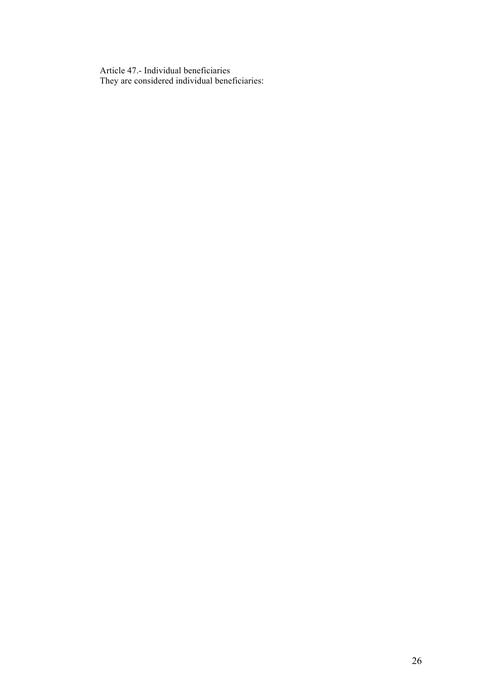Article 47.- Individual beneficiaries They are considered individual beneficiaries: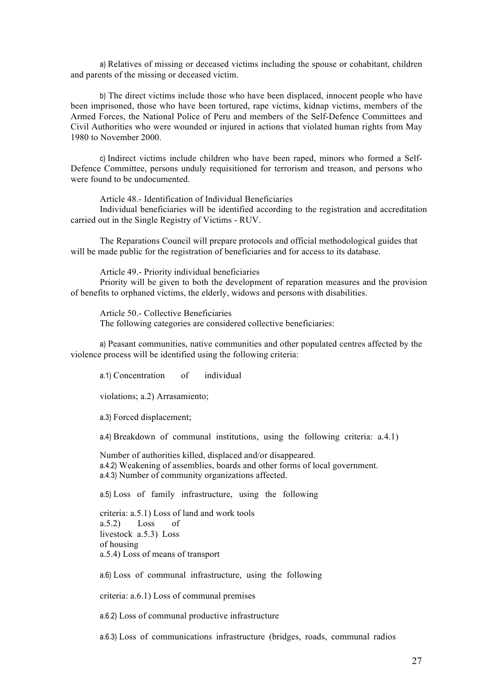a) Relatives of missing or deceased victims including the spouse or cohabitant, children and parents of the missing or deceased victim.

b) The direct victims include those who have been displaced, innocent people who have been imprisoned, those who have been tortured, rape victims, kidnap victims, members of the Armed Forces, the National Police of Peru and members of the Self-Defence Committees and Civil Authorities who were wounded or injured in actions that violated human rights from May 1980 to November 2000.

c) Indirect victims include children who have been raped, minors who formed a Self-Defence Committee, persons unduly requisitioned for terrorism and treason, and persons who were found to be undocumented.

Article 48.- Identification of Individual Beneficiaries

Individual beneficiaries will be identified according to the registration and accreditation carried out in the Single Registry of Victims - RUV.

The Reparations Council will prepare protocols and official methodological guides that will be made public for the registration of beneficiaries and for access to its database.

Article 49.- Priority individual beneficiaries

Priority will be given to both the development of reparation measures and the provision of benefits to orphaned victims, the elderly, widows and persons with disabilities.

Article 50.- Collective Beneficiaries The following categories are considered collective beneficiaries:

a) Peasant communities, native communities and other populated centres affected by the violence process will be identified using the following criteria:

a.1) Concentration of individual

violations; a.2) Arrasamiento;

a.3) Forced displacement;

a.4) Breakdown of communal institutions, using the following criteria: a.4.1)

Number of authorities killed, displaced and/or disappeared. a.4.2) Weakening of assemblies, boards and other forms of local government. a.4.3) Number of community organizations affected.

a.5) Loss of family infrastructure, using the following

criteria: a.5.1) Loss of land and work tools a.5.2) Loss of livestock a.5.3) Loss of housing a.5.4) Loss of means of transport

a.6) Loss of communal infrastructure, using the following

criteria: a.6.1) Loss of communal premises

a.6.2) Loss of communal productive infrastructure

a.6.3) Loss of communications infrastructure (bridges, roads, communal radios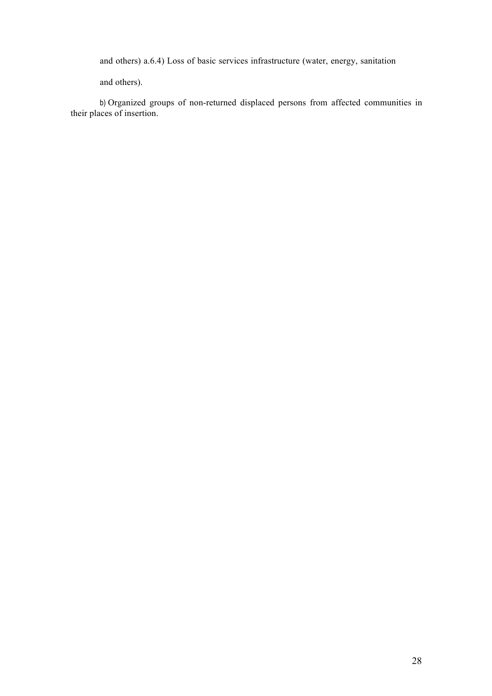and others) a.6.4) Loss of basic services infrastructure (water, energy, sanitation

and others).

b) Organized groups of non-returned displaced persons from affected communities in their places of insertion.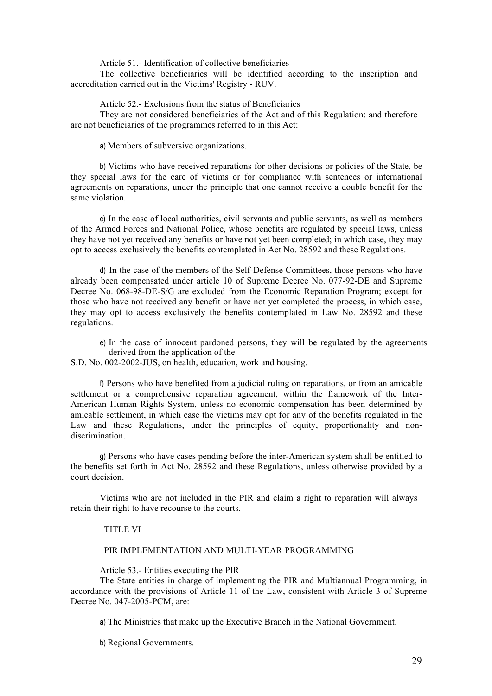Article 51.- Identification of collective beneficiaries

The collective beneficiaries will be identified according to the inscription and accreditation carried out in the Victims' Registry - RUV.

Article 52.- Exclusions from the status of Beneficiaries

They are not considered beneficiaries of the Act and of this Regulation: and therefore are not beneficiaries of the programmes referred to in this Act:

a) Members of subversive organizations.

b) Victims who have received reparations for other decisions or policies of the State, be they special laws for the care of victims or for compliance with sentences or international agreements on reparations, under the principle that one cannot receive a double benefit for the same violation.

c) In the case of local authorities, civil servants and public servants, as well as members of the Armed Forces and National Police, whose benefits are regulated by special laws, unless they have not yet received any benefits or have not yet been completed; in which case, they may opt to access exclusively the benefits contemplated in Act No. 28592 and these Regulations.

d) In the case of the members of the Self-Defense Committees, those persons who have already been compensated under article 10 of Supreme Decree No. 077-92-DE and Supreme Decree No. 068-98-DE-S/G are excluded from the Economic Reparation Program; except for those who have not received any benefit or have not yet completed the process, in which case, they may opt to access exclusively the benefits contemplated in Law No. 28592 and these regulations.

e) In the case of innocent pardoned persons, they will be regulated by the agreements derived from the application of the

S.D. No. 002-2002-JUS, on health, education, work and housing.

f) Persons who have benefited from a judicial ruling on reparations, or from an amicable settlement or a comprehensive reparation agreement, within the framework of the Inter-American Human Rights System, unless no economic compensation has been determined by amicable settlement, in which case the victims may opt for any of the benefits regulated in the Law and these Regulations, under the principles of equity, proportionality and nondiscrimination.

g) Persons who have cases pending before the inter-American system shall be entitled to the benefits set forth in Act No. 28592 and these Regulations, unless otherwise provided by a court decision.

Victims who are not included in the PIR and claim a right to reparation will always retain their right to have recourse to the courts.

## TITLE VI

## PIR IMPLEMENTATION AND MULTI-YEAR PROGRAMMING

Article 53.- Entities executing the PIR

The State entities in charge of implementing the PIR and Multiannual Programming, in accordance with the provisions of Article 11 of the Law, consistent with Article 3 of Supreme Decree No. 047-2005-PCM, are:

a) The Ministries that make up the Executive Branch in the National Government.

b) Regional Governments.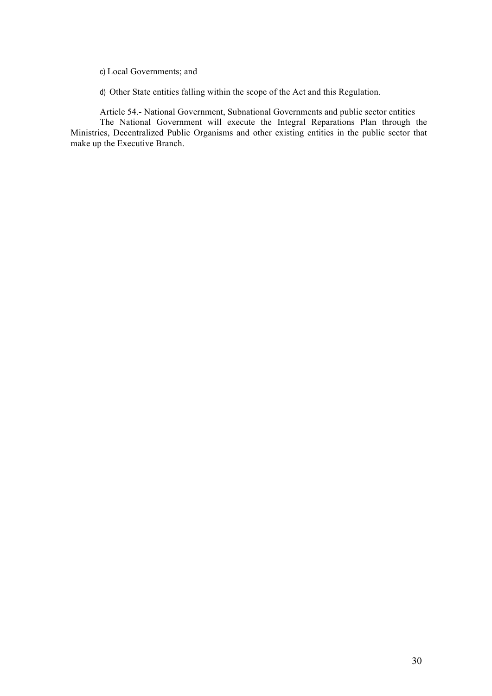- c) Local Governments; and
- d) Other State entities falling within the scope of the Act and this Regulation.

Article 54.- National Government, Subnational Governments and public sector entities The National Government will execute the Integral Reparations Plan through the Ministries, Decentralized Public Organisms and other existing entities in the public sector that make up the Executive Branch.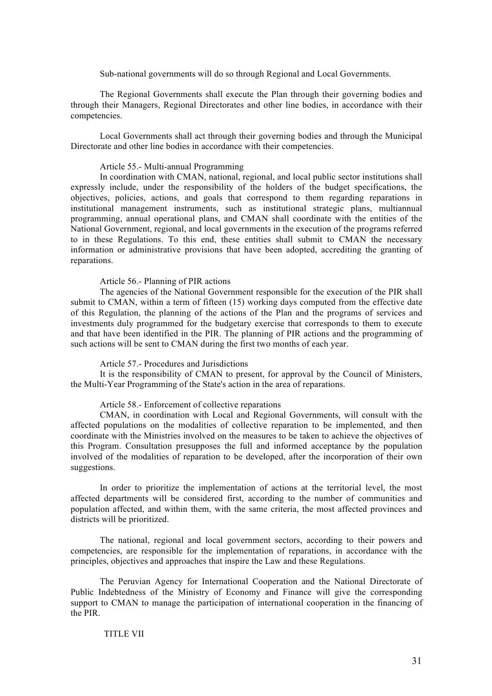Sub-national governments will do so through Regional and Local Governments.

The Regional Governments shall execute the Plan through their governing bodies and through their Managers, Regional Directorates and other line bodies, in accordance with their competencies.

Local Governments shall act through their governing bodies and through the Municipal Directorate and other line bodies in accordance with their competencies.

## Article 55.- Multi-annual Programming

In coordination with CMAN, national, regional, and local public sector institutions shall expressly include, under the responsibility of the holders of the budget specifications, the objectives, policies, actions, and goals that correspond to them regarding reparations in institutional management instruments, such as institutional strategic plans, multiannual programming, annual operational plans, and CMAN shall coordinate with the entities of the National Government, regional, and local governments in the execution of the programs referred to in these Regulations. To this end, these entities shall submit to CMAN the necessary information or administrative provisions that have been adopted, accrediting the granting of reparations.

#### Article 56.- Planning of PIR actions

The agencies of the National Government responsible for the execution of the PIR shall submit to CMAN, within a term of fifteen (15) working days computed from the effective date of this Regulation, the planning of the actions of the Plan and the programs of services and investments duly programmed for the budgetary exercise that corresponds to them to execute and that have been identified in the PIR. The planning of PIR actions and the programming of such actions will be sent to CMAN during the first two months of each year.

#### Article 57.- Procedures and Jurisdictions

It is the responsibility of CMAN to present, for approval by the Council of Ministers, the Multi-Year Programming of the State's action in the area of reparations.

## Article 58.- Enforcement of collective reparations

CMAN, in coordination with Local and Regional Governments, will consult with the affected populations on the modalities of collective reparation to be implemented, and then coordinate with the Ministries involved on the measures to be taken to achieve the objectives of this Program. Consultation presupposes the full and informed acceptance by the population involved of the modalities of reparation to be developed, after the incorporation of their own suggestions.

In order to prioritize the implementation of actions at the territorial level, the most affected departments will be considered first, according to the number of communities and population affected, and within them, with the same criteria, the most affected provinces and districts will be prioritized.

The national, regional and local government sectors, according to their powers and competencies, are responsible for the implementation of reparations, in accordance with the principles, objectives and approaches that inspire the Law and these Regulations.

The Peruvian Agency for International Cooperation and the National Directorate of Public Indebtedness of the Ministry of Economy and Finance will give the corresponding support to CMAN to manage the participation of international cooperation in the financing of the PIR.

## TITLE VII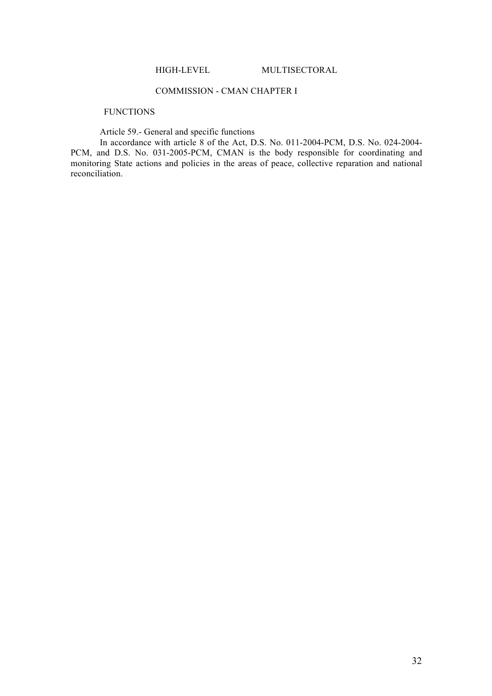## COMMISSION - CMAN CHAPTER I

## **FUNCTIONS**

Article 59.- General and specific functions

In accordance with article 8 of the Act, D.S. No. 011-2004-PCM, D.S. No. 024-2004- PCM, and D.S. No. 031-2005-PCM, CMAN is the body responsible for coordinating and monitoring State actions and policies in the areas of peace, collective reparation and national reconciliation.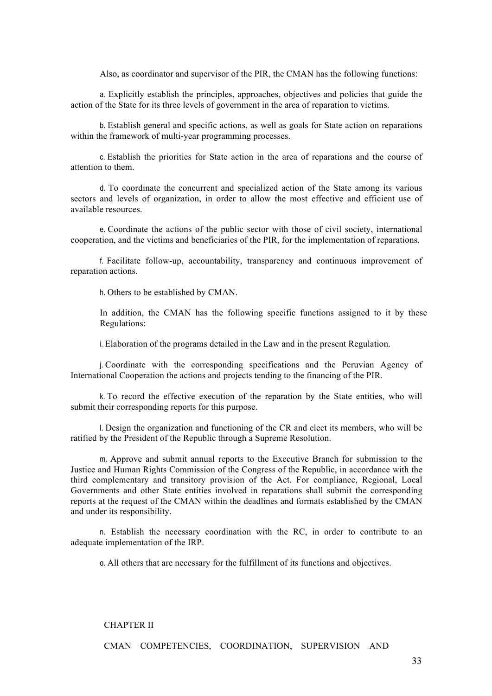Also, as coordinator and supervisor of the PIR, the CMAN has the following functions:

a. Explicitly establish the principles, approaches, objectives and policies that guide the action of the State for its three levels of government in the area of reparation to victims.

b. Establish general and specific actions, as well as goals for State action on reparations within the framework of multi-year programming processes.

c. Establish the priorities for State action in the area of reparations and the course of attention to them.

d. To coordinate the concurrent and specialized action of the State among its various sectors and levels of organization, in order to allow the most effective and efficient use of available resources.

e. Coordinate the actions of the public sector with those of civil society, international cooperation, and the victims and beneficiaries of the PIR, for the implementation of reparations.

f. Facilitate follow-up, accountability, transparency and continuous improvement of reparation actions.

h. Others to be established by CMAN.

In addition, the CMAN has the following specific functions assigned to it by these Regulations:

i. Elaboration of the programs detailed in the Law and in the present Regulation.

j. Coordinate with the corresponding specifications and the Peruvian Agency of International Cooperation the actions and projects tending to the financing of the PIR.

k. To record the effective execution of the reparation by the State entities, who will submit their corresponding reports for this purpose.

l. Design the organization and functioning of the CR and elect its members, who will be ratified by the President of the Republic through a Supreme Resolution.

m. Approve and submit annual reports to the Executive Branch for submission to the Justice and Human Rights Commission of the Congress of the Republic, in accordance with the third complementary and transitory provision of the Act. For compliance, Regional, Local Governments and other State entities involved in reparations shall submit the corresponding reports at the request of the CMAN within the deadlines and formats established by the CMAN and under its responsibility.

n. Establish the necessary coordination with the RC, in order to contribute to an adequate implementation of the IRP.

o. All others that are necessary for the fulfillment of its functions and objectives.

#### CHAPTER II

CMAN COMPETENCIES, COORDINATION, SUPERVISION AND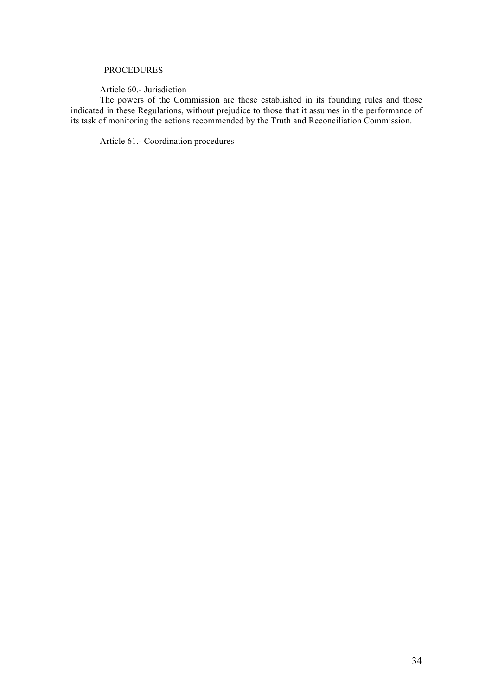## PROCEDURES

Article 60.- Jurisdiction

The powers of the Commission are those established in its founding rules and those indicated in these Regulations, without prejudice to those that it assumes in the performance of its task of monitoring the actions recommended by the Truth and Reconciliation Commission.

Article 61.- Coordination procedures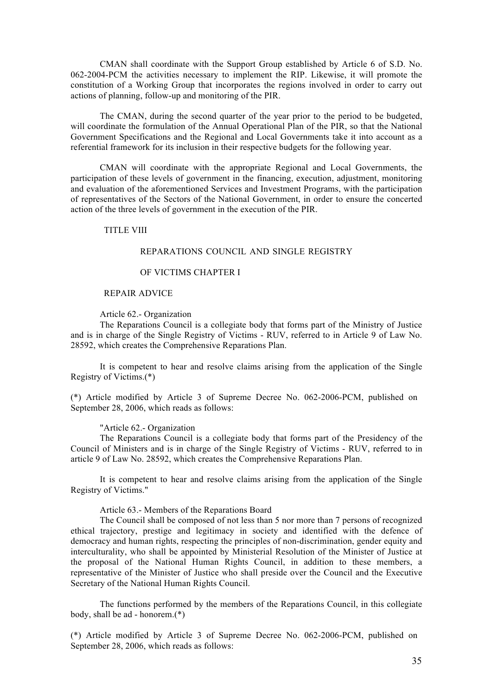CMAN shall coordinate with the Support Group established by Article 6 of S.D. No. 062-2004-PCM the activities necessary to implement the RIP. Likewise, it will promote the constitution of a Working Group that incorporates the regions involved in order to carry out actions of planning, follow-up and monitoring of the PIR.

The CMAN, during the second quarter of the year prior to the period to be budgeted, will coordinate the formulation of the Annual Operational Plan of the PIR, so that the National Government Specifications and the Regional and Local Governments take it into account as a referential framework for its inclusion in their respective budgets for the following year.

CMAN will coordinate with the appropriate Regional and Local Governments, the participation of these levels of government in the financing, execution, adjustment, monitoring and evaluation of the aforementioned Services and Investment Programs, with the participation of representatives of the Sectors of the National Government, in order to ensure the concerted action of the three levels of government in the execution of the PIR.

#### TITLE VIII

## REPARATIONS COUNCIL AND SINGLE REGISTRY

## OF VICTIMS CHAPTER I

## REPAIR ADVICE

#### Article 62.- Organization

The Reparations Council is a collegiate body that forms part of the Ministry of Justice and is in charge of the Single Registry of Victims - RUV, referred to in Article 9 of Law No. 28592, which creates the Comprehensive Reparations Plan.

It is competent to hear and resolve claims arising from the application of the Single Registry of Victims.(\*)

(\*) Article modified by Article 3 of Supreme Decree No. 062-2006-PCM, published on September 28, 2006, which reads as follows:

#### "Article 62.- Organization

The Reparations Council is a collegiate body that forms part of the Presidency of the Council of Ministers and is in charge of the Single Registry of Victims - RUV, referred to in article 9 of Law No. 28592, which creates the Comprehensive Reparations Plan.

It is competent to hear and resolve claims arising from the application of the Single Registry of Victims."

Article 63.- Members of the Reparations Board

The Council shall be composed of not less than 5 nor more than 7 persons of recognized ethical trajectory, prestige and legitimacy in society and identified with the defence of democracy and human rights, respecting the principles of non-discrimination, gender equity and interculturality, who shall be appointed by Ministerial Resolution of the Minister of Justice at the proposal of the National Human Rights Council, in addition to these members, a representative of the Minister of Justice who shall preside over the Council and the Executive Secretary of the National Human Rights Council.

The functions performed by the members of the Reparations Council, in this collegiate body, shall be ad - honorem.(\*)

(\*) Article modified by Article 3 of Supreme Decree No. 062-2006-PCM, published on September 28, 2006, which reads as follows: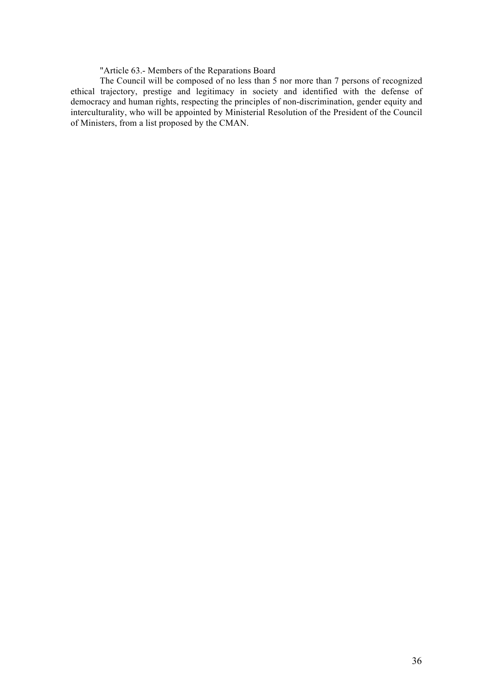"Article 63.- Members of the Reparations Board

The Council will be composed of no less than 5 nor more than 7 persons of recognized ethical trajectory, prestige and legitimacy in society and identified with the defense of democracy and human rights, respecting the principles of non-discrimination, gender equity and interculturality, who will be appointed by Ministerial Resolution of the President of the Council of Ministers, from a list proposed by the CMAN.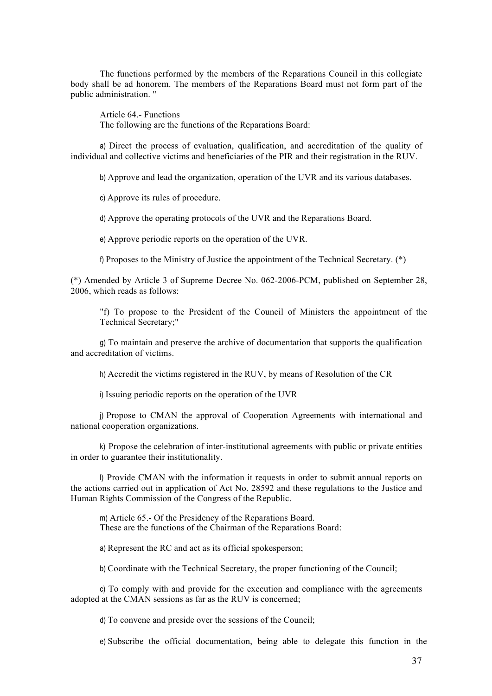The functions performed by the members of the Reparations Council in this collegiate body shall be ad honorem. The members of the Reparations Board must not form part of the public administration. "

Article 64.- Functions The following are the functions of the Reparations Board:

a) Direct the process of evaluation, qualification, and accreditation of the quality of individual and collective victims and beneficiaries of the PIR and their registration in the RUV.

b) Approve and lead the organization, operation of the UVR and its various databases.

c) Approve its rules of procedure.

d) Approve the operating protocols of the UVR and the Reparations Board.

e) Approve periodic reports on the operation of the UVR.

f) Proposes to the Ministry of Justice the appointment of the Technical Secretary. (\*)

(\*) Amended by Article 3 of Supreme Decree No. 062-2006-PCM, published on September 28, 2006, which reads as follows:

"f) To propose to the President of the Council of Ministers the appointment of the Technical Secretary;"

g) To maintain and preserve the archive of documentation that supports the qualification and accreditation of victims.

h) Accredit the victims registered in the RUV, by means of Resolution of the CR

i) Issuing periodic reports on the operation of the UVR

j) Propose to CMAN the approval of Cooperation Agreements with international and national cooperation organizations.

k) Propose the celebration of inter-institutional agreements with public or private entities in order to guarantee their institutionality.

l) Provide CMAN with the information it requests in order to submit annual reports on the actions carried out in application of Act No. 28592 and these regulations to the Justice and Human Rights Commission of the Congress of the Republic.

m) Article 65.- Of the Presidency of the Reparations Board. These are the functions of the Chairman of the Reparations Board:

a) Represent the RC and act as its official spokesperson;

b) Coordinate with the Technical Secretary, the proper functioning of the Council;

c) To comply with and provide for the execution and compliance with the agreements adopted at the CMAN sessions as far as the RUV is concerned;

d) To convene and preside over the sessions of the Council;

e) Subscribe the official documentation, being able to delegate this function in the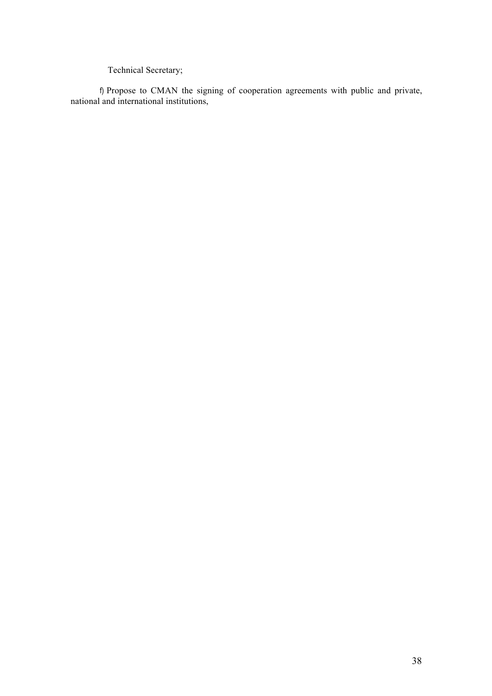Technical Secretary;

f) Propose to CMAN the signing of cooperation agreements with public and private, national and international institutions,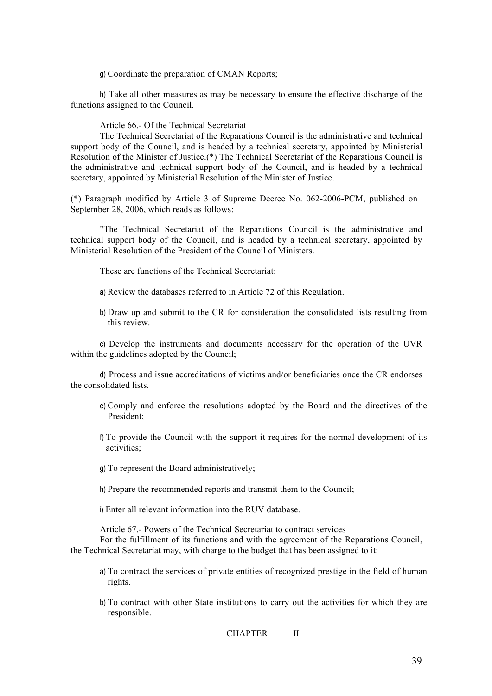g) Coordinate the preparation of CMAN Reports;

h) Take all other measures as may be necessary to ensure the effective discharge of the functions assigned to the Council.

Article 66.- Of the Technical Secretariat

The Technical Secretariat of the Reparations Council is the administrative and technical support body of the Council, and is headed by a technical secretary, appointed by Ministerial Resolution of the Minister of Justice.(\*) The Technical Secretariat of the Reparations Council is the administrative and technical support body of the Council, and is headed by a technical secretary, appointed by Ministerial Resolution of the Minister of Justice.

(\*) Paragraph modified by Article 3 of Supreme Decree No. 062-2006-PCM, published on September 28, 2006, which reads as follows:

"The Technical Secretariat of the Reparations Council is the administrative and technical support body of the Council, and is headed by a technical secretary, appointed by Ministerial Resolution of the President of the Council of Ministers.

These are functions of the Technical Secretariat:

- a) Review the databases referred to in Article 72 of this Regulation.
- b) Draw up and submit to the CR for consideration the consolidated lists resulting from this review.

c) Develop the instruments and documents necessary for the operation of the UVR within the guidelines adopted by the Council;

d) Process and issue accreditations of victims and/or beneficiaries once the CR endorses the consolidated lists.

- e) Comply and enforce the resolutions adopted by the Board and the directives of the President;
- f) To provide the Council with the support it requires for the normal development of its activities;
- g) To represent the Board administratively;
- h) Prepare the recommended reports and transmit them to the Council;
- i) Enter all relevant information into the RUV database.

Article 67.- Powers of the Technical Secretariat to contract services

For the fulfillment of its functions and with the agreement of the Reparations Council, the Technical Secretariat may, with charge to the budget that has been assigned to it:

- a) To contract the services of private entities of recognized prestige in the field of human rights.
- b) To contract with other State institutions to carry out the activities for which they are responsible.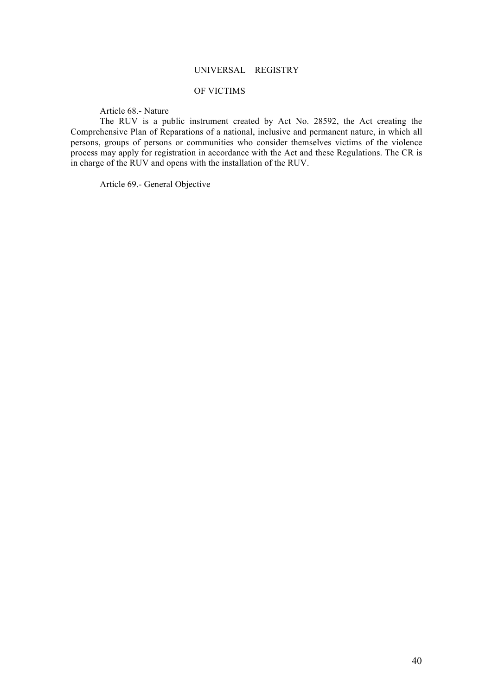# UNIVERSAL REGISTRY

## OF VICTIMS

Article 68.- Nature

The RUV is a public instrument created by Act No. 28592, the Act creating the Comprehensive Plan of Reparations of a national, inclusive and permanent nature, in which all persons, groups of persons or communities who consider themselves victims of the violence process may apply for registration in accordance with the Act and these Regulations. The CR is in charge of the RUV and opens with the installation of the RUV.

Article 69.- General Objective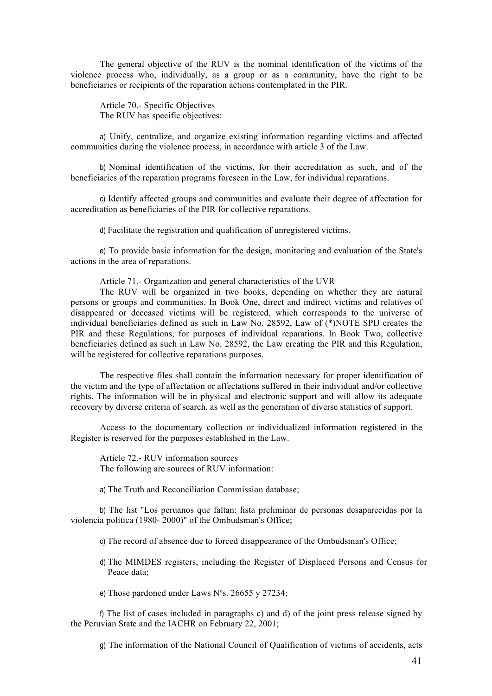The general objective of the RUV is the nominal identification of the victims of the violence process who, individually, as a group or as a community, have the right to be beneficiaries or recipients of the reparation actions contemplated in the PIR.

Article 70.- Specific Objectives The RUV has specific objectives:

a) Unify, centralize, and organize existing information regarding victims and affected communities during the violence process, in accordance with article 3 of the Law.

b) Nominal identification of the victims, for their accreditation as such, and of the beneficiaries of the reparation programs foreseen in the Law, for individual reparations.

c) Identify affected groups and communities and evaluate their degree of affectation for accreditation as beneficiaries of the PIR for collective reparations.

d) Facilitate the registration and qualification of unregistered victims.

e) To provide basic information for the design, monitoring and evaluation of the State's actions in the area of reparations.

Article 71.- Organization and general characteristics of the UVR

The RUV will be organized in two books, depending on whether they are natural persons or groups and communities. In Book One, direct and indirect victims and relatives of disappeared or deceased victims will be registered, which corresponds to the universe of individual beneficiaries defined as such in Law No. 28592, Law of (\*)NOTE SPIJ creates the PIR and these Regulations, for purposes of individual reparations. In Book Two, collective beneficiaries defined as such in Law No. 28592, the Law creating the PIR and this Regulation, will be registered for collective reparations purposes.

The respective files shall contain the information necessary for proper identification of the victim and the type of affectation or affectations suffered in their individual and/or collective rights. The information will be in physical and electronic support and will allow its adequate recovery by diverse criteria of search, as well as the generation of diverse statistics of support.

Access to the documentary collection or individualized information registered in the Register is reserved for the purposes established in the Law.

Article 72.- RUV information sources The following are sources of RUV information:

a) The Truth and Reconciliation Commission database;

b) The list "Los peruanos que faltan: lista preliminar de personas desaparecidas por la violencia política (1980- 2000)" of the Ombudsman's Office;

c) The record of absence due to forced disappearance of the Ombudsman's Office;

d) The MIMDES registers, including the Register of Displaced Persons and Census for Peace data;

e) Those pardoned under Laws Nºs. 26655 y 27234;

f) The list of cases included in paragraphs c) and d) of the joint press release signed by the Peruvian State and the IACHR on February 22, 2001;

g) The information of the National Council of Qualification of victims of accidents, acts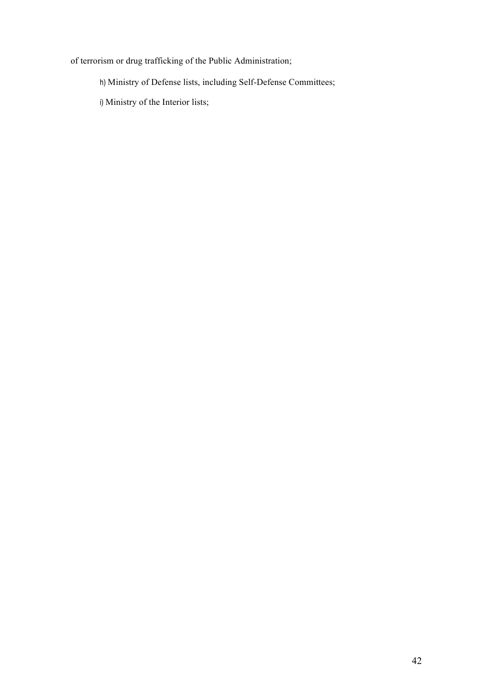of terrorism or drug trafficking of the Public Administration;

h) Ministry of Defense lists, including Self-Defense Committees;

i) Ministry of the Interior lists;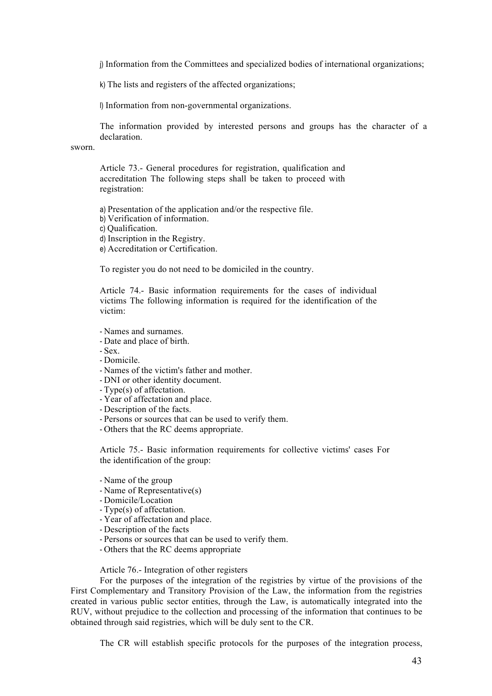j) Information from the Committees and specialized bodies of international organizations;

k) The lists and registers of the affected organizations;

l) Information from non-governmental organizations.

The information provided by interested persons and groups has the character of a declaration.

sworn.

Article 73.- General procedures for registration, qualification and accreditation The following steps shall be taken to proceed with registration:

a) Presentation of the application and/or the respective file.

b) Verification of information.

c) Qualification.

d) Inscription in the Registry.

e) Accreditation or Certification.

To register you do not need to be domiciled in the country.

Article 74.- Basic information requirements for the cases of individual victims The following information is required for the identification of the victim:

- Names and surnames.
- Date and place of birth.

- Sex.

- Domicile.
- Names of the victim's father and mother.
- DNI or other identity document.
- Type(s) of affectation.
- Year of affectation and place.
- Description of the facts.
- Persons or sources that can be used to verify them.
- Others that the RC deems appropriate.

Article 75.- Basic information requirements for collective victims' cases For the identification of the group:

- Name of the group
- Name of Representative(s)
- Domicile/Location
- Type(s) of affectation.
- Year of affectation and place.
- Description of the facts
- Persons or sources that can be used to verify them.
- Others that the RC deems appropriate

## Article 76.- Integration of other registers

For the purposes of the integration of the registries by virtue of the provisions of the First Complementary and Transitory Provision of the Law, the information from the registries created in various public sector entities, through the Law, is automatically integrated into the RUV, without prejudice to the collection and processing of the information that continues to be obtained through said registries, which will be duly sent to the CR.

The CR will establish specific protocols for the purposes of the integration process,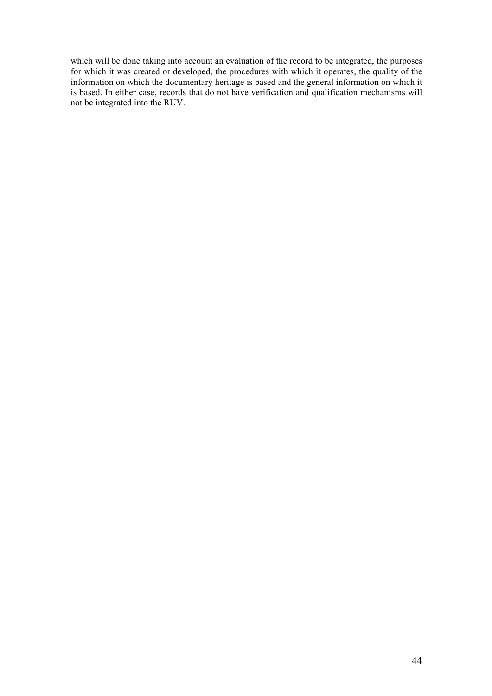which will be done taking into account an evaluation of the record to be integrated, the purposes for which it was created or developed, the procedures with which it operates, the quality of the information on which the documentary heritage is based and the general information on which it is based. In either case, records that do not have verification and qualification mechanisms will not be integrated into the RUV.